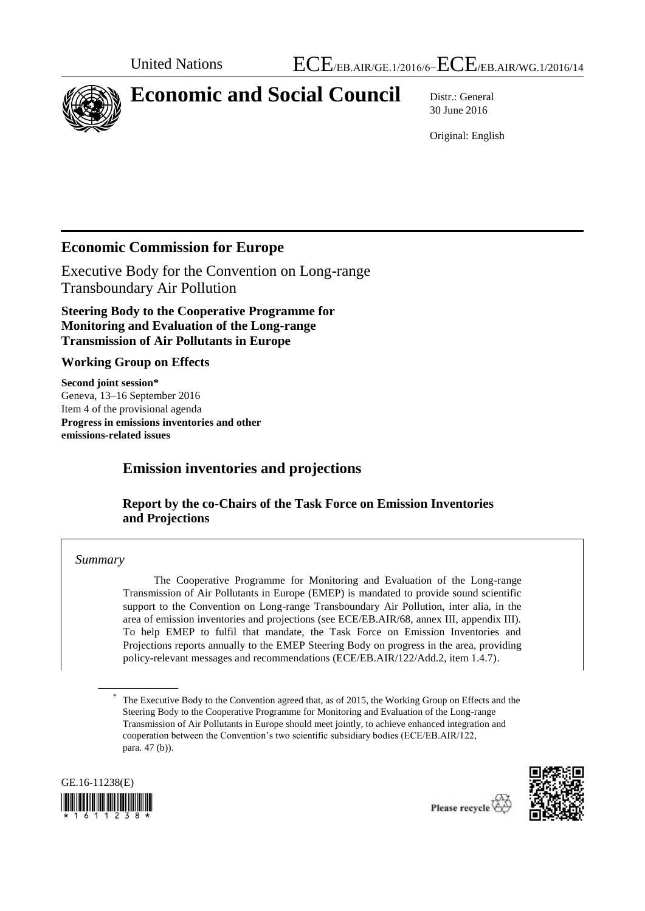

# **Economic and Social Council** Distr.: General

30 June 2016

Original: English

# **Economic Commission for Europe**

Executive Body for the Convention on Long-range Transboundary Air Pollution

**Steering Body to the Cooperative Programme for Monitoring and Evaluation of the Long-range Transmission of Air Pollutants in Europe** 

### **Working Group on Effects**

**Second joint session\*** Geneva, 13–16 September 2016 Item 4 of the provisional agenda **Progress in emissions inventories and other emissions-related issues**

# **Emission inventories and projections**

## **Report by the co-Chairs of the Task Force on Emission Inventories and Projections**

### *Summary*

The Cooperative Programme for Monitoring and Evaluation of the Long-range Transmission of Air Pollutants in Europe (EMEP) is mandated to provide sound scientific support to the Convention on Long-range Transboundary Air Pollution, inter alia, in the area of emission inventories and projections (see ECE/EB.AIR/68, annex III, appendix III). To help EMEP to fulfil that mandate, the Task Force on Emission Inventories and Projections reports annually to the EMEP Steering Body on progress in the area, providing policy-relevant messages and recommendations (ECE/EB.AIR/122/Add.2, item 1.4.7).

<sup>\*</sup> The Executive Body to the Convention agreed that, as of 2015, the Working Group on Effects and the Steering Body to the Cooperative Programme for Monitoring and Evaluation of the Long-range Transmission of Air Pollutants in Europe should meet jointly, to achieve enhanced integration and cooperation between the Convention's two scientific subsidiary bodies (ECE/EB.AIR/122, para. 47 (b)).



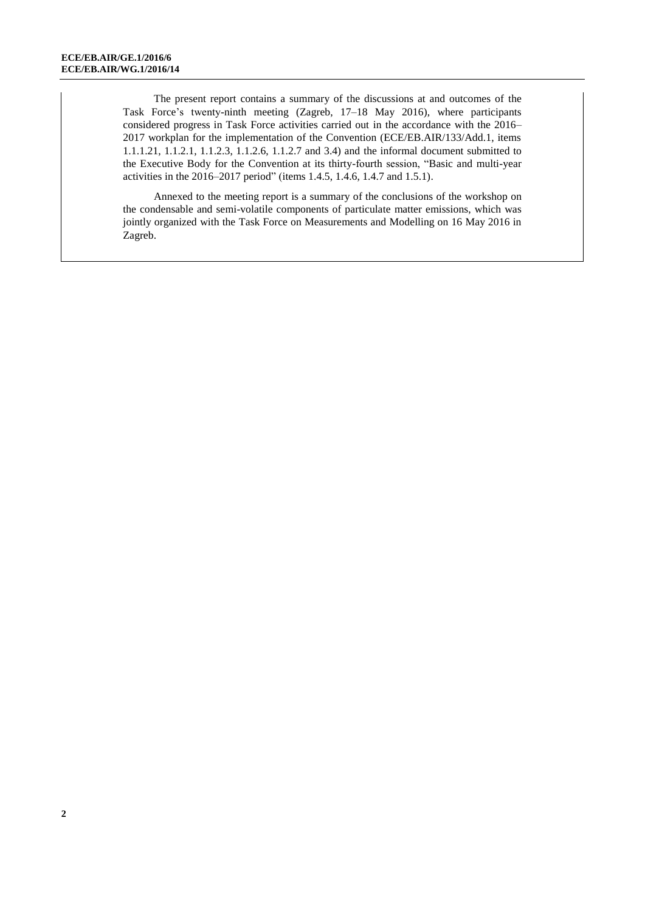The present report contains a summary of the discussions at and outcomes of the Task Force's twenty-ninth meeting (Zagreb, 17–18 May 2016), where participants considered progress in Task Force activities carried out in the accordance with the 2016– 2017 workplan for the implementation of the Convention (ECE/EB.AIR/133/Add.1, items 1.1.1.21, 1.1.2.1, 1.1.2.3, 1.1.2.6, 1.1.2.7 and 3.4) and the informal document submitted to the Executive Body for the Convention at its thirty-fourth session, "Basic and multi-year activities in the 2016–2017 period" (items 1.4.5, 1.4.6, 1.4.7 and 1.5.1).

Annexed to the meeting report is a summary of the conclusions of the workshop on the condensable and semi-volatile components of particulate matter emissions, which was jointly organized with the Task Force on Measurements and Modelling on 16 May 2016 in Zagreb.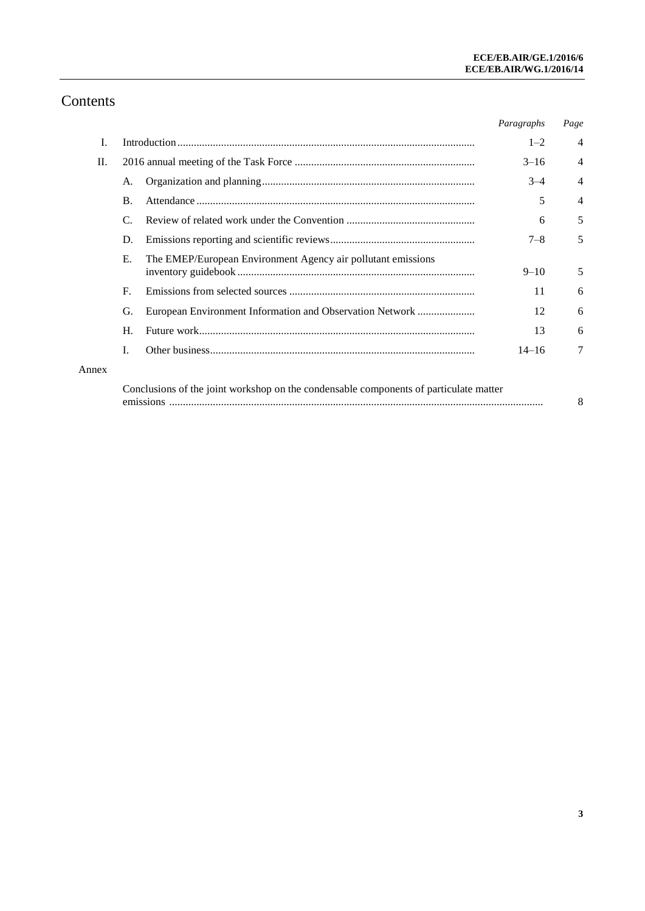# Contents

|       |                                                                                       |                                                              | Paragraphs | Page           |
|-------|---------------------------------------------------------------------------------------|--------------------------------------------------------------|------------|----------------|
| I.    |                                                                                       |                                                              |            | $\overline{4}$ |
| II.   |                                                                                       |                                                              | $3 - 16$   | $\overline{4}$ |
|       | A.                                                                                    |                                                              | $3 - 4$    | 4              |
|       | $\mathbf{B}$ .                                                                        |                                                              | 5          | $\overline{4}$ |
|       | $\mathcal{C}$                                                                         |                                                              | 6          | 5              |
|       | D.                                                                                    |                                                              | $7 - 8$    | 5              |
|       | Е.                                                                                    | The EMEP/European Environment Agency air pollutant emissions | $9 - 10$   | 5              |
|       | $\mathbf{F}$                                                                          |                                                              | 11         | 6              |
|       | G.                                                                                    | European Environment Information and Observation Network     | 12         | 6              |
|       | H.                                                                                    |                                                              | 13         | 6              |
|       | I.                                                                                    |                                                              | $14 - 16$  | $\tau$         |
| Annex |                                                                                       |                                                              |            |                |
|       | Conclusions of the joint workshop on the condensable components of particulate matter |                                                              |            |                |

emissions ......................................................................................................................................... 8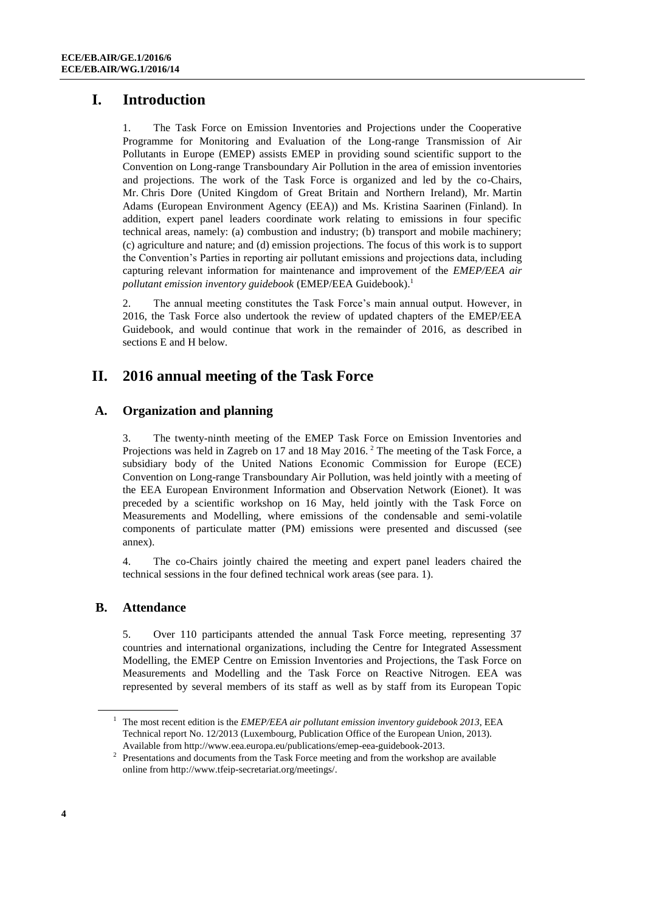# **I. Introduction**

1. The Task Force on Emission Inventories and Projections under the Cooperative Programme for Monitoring and Evaluation of the Long-range Transmission of Air Pollutants in Europe (EMEP) assists EMEP in providing sound scientific support to the Convention on Long-range Transboundary Air Pollution in the area of emission inventories and projections. The work of the Task Force is organized and led by the co-Chairs, Mr. Chris Dore (United Kingdom of Great Britain and Northern Ireland), Mr. Martin Adams (European Environment Agency (EEA)) and Ms. Kristina Saarinen (Finland). In addition, expert panel leaders coordinate work relating to emissions in four specific technical areas, namely: (a) combustion and industry; (b) transport and mobile machinery; (c) agriculture and nature; and (d) emission projections. The focus of this work is to support the Convention's Parties in reporting air pollutant emissions and projections data, including capturing relevant information for maintenance and improvement of the *EMEP/EEA air pollutant emission inventory guidebook* (EMEP/EEA Guidebook).<sup>1</sup>

2. The annual meeting constitutes the Task Force's main annual output. However, in 2016, the Task Force also undertook the review of updated chapters of the EMEP/EEA Guidebook, and would continue that work in the remainder of 2016, as described in sections E and H below.

# **II. 2016 annual meeting of the Task Force**

### **A. Organization and planning**

3. The twenty-ninth meeting of the EMEP Task Force on Emission Inventories and Projections was held in Zagreb on 17 and 18 May 2016.<sup>2</sup> The meeting of the Task Force, a subsidiary body of the United Nations Economic Commission for Europe (ECE) Convention on Long-range Transboundary Air Pollution, was held jointly with a meeting of the EEA European Environment Information and Observation Network (Eionet). It was preceded by a scientific workshop on 16 May, held jointly with the Task Force on Measurements and Modelling, where emissions of the condensable and semi-volatile components of particulate matter (PM) emissions were presented and discussed (see annex).

4. The co-Chairs jointly chaired the meeting and expert panel leaders chaired the technical sessions in the four defined technical work areas (see para. 1).

### **B. Attendance**

5. Over 110 participants attended the annual Task Force meeting, representing 37 countries and international organizations, including the Centre for Integrated Assessment Modelling, the EMEP Centre on Emission Inventories and Projections, the Task Force on Measurements and Modelling and the Task Force on Reactive Nitrogen. EEA was represented by several members of its staff as well as by staff from its European Topic

<sup>1</sup> The most recent edition is the *EMEP/EEA air pollutant emission inventory guidebook 2013*, EEA Technical report No. 12/2013 (Luxembourg, Publication Office of the European Union, 2013). Available fro[m http://www.eea.europa.eu/publications/emep-eea-guidebook-2013.](http://www.eea.europa.eu/publications/emep-eea-guidebook-2013)

 $2$  Presentations and documents from the Task Force meeting and from the workshop are available online from [http://www.tfeip-secretariat.org/meetings/.](http://www.tfeip-secretariat.org/)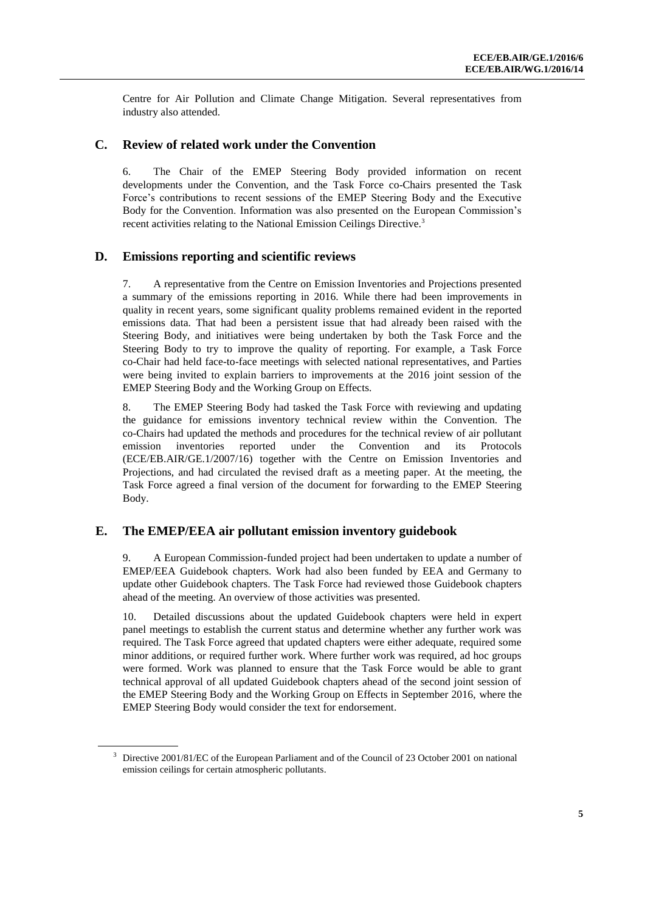Centre for Air Pollution and Climate Change Mitigation. Several representatives from industry also attended.

### **C. Review of related work under the Convention**

6. The Chair of the EMEP Steering Body provided information on recent developments under the Convention, and the Task Force co-Chairs presented the Task Force's contributions to recent sessions of the EMEP Steering Body and the Executive Body for the Convention. Information was also presented on the European Commission's recent activities relating to the National Emission Ceilings Directive.<sup>3</sup>

### **D. Emissions reporting and scientific reviews**

7. A representative from the Centre on Emission Inventories and Projections presented a summary of the emissions reporting in 2016. While there had been improvements in quality in recent years, some significant quality problems remained evident in the reported emissions data. That had been a persistent issue that had already been raised with the Steering Body, and initiatives were being undertaken by both the Task Force and the Steering Body to try to improve the quality of reporting. For example, a Task Force co-Chair had held face-to-face meetings with selected national representatives, and Parties were being invited to explain barriers to improvements at the 2016 joint session of the EMEP Steering Body and the Working Group on Effects.

8. The EMEP Steering Body had tasked the Task Force with reviewing and updating the guidance for emissions inventory technical review within the Convention. The co-Chairs had updated the methods and procedures for the technical review of air pollutant emission inventories reported under the Convention and its Protocols (ECE/EB.AIR/GE.1/2007/16) together with the Centre on Emission Inventories and Projections, and had circulated the revised draft as a meeting paper. At the meeting, the Task Force agreed a final version of the document for forwarding to the EMEP Steering Body.

#### **E. The EMEP/EEA air pollutant emission inventory guidebook**

9. A European Commission-funded project had been undertaken to update a number of EMEP/EEA Guidebook chapters. Work had also been funded by EEA and Germany to update other Guidebook chapters. The Task Force had reviewed those Guidebook chapters ahead of the meeting. An overview of those activities was presented.

10. Detailed discussions about the updated Guidebook chapters were held in expert panel meetings to establish the current status and determine whether any further work was required. The Task Force agreed that updated chapters were either adequate, required some minor additions, or required further work. Where further work was required, ad hoc groups were formed. Work was planned to ensure that the Task Force would be able to grant technical approval of all updated Guidebook chapters ahead of the second joint session of the EMEP Steering Body and the Working Group on Effects in September 2016, where the EMEP Steering Body would consider the text for endorsement.

<sup>&</sup>lt;sup>3</sup> Directive 2001/81/EC of the European Parliament and of the Council of 23 October 2001 on national emission ceilings for certain atmospheric pollutants.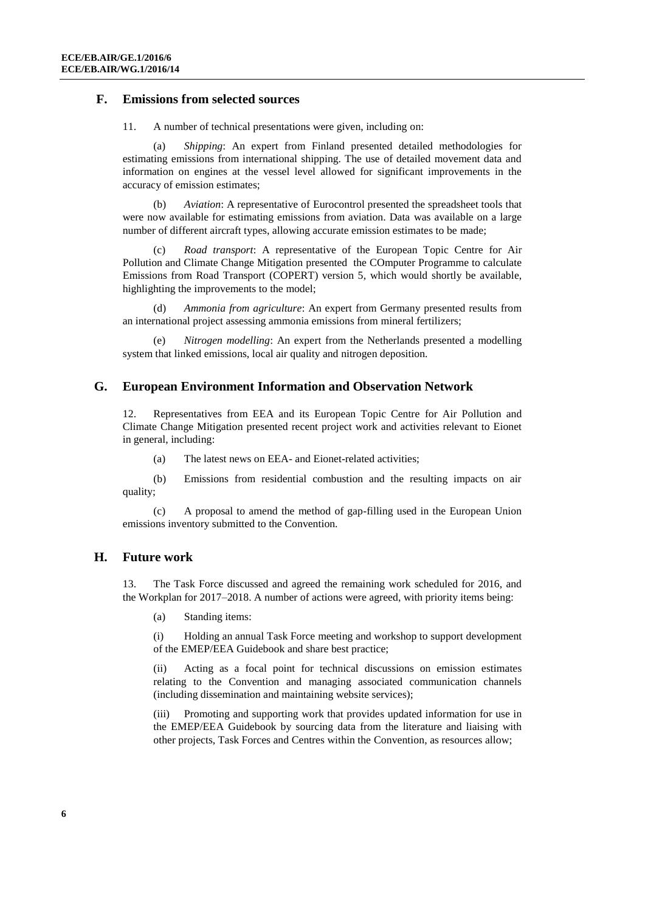#### **F. Emissions from selected sources**

11. A number of technical presentations were given, including on:

(a) *Shipping*: An expert from Finland presented detailed methodologies for estimating emissions from international shipping. The use of detailed movement data and information on engines at the vessel level allowed for significant improvements in the accuracy of emission estimates;

(b) *Aviation*: A representative of Eurocontrol presented the spreadsheet tools that were now available for estimating emissions from aviation. Data was available on a large number of different aircraft types, allowing accurate emission estimates to be made;

(c) *Road transport*: A representative of the European Topic Centre for Air Pollution and Climate Change Mitigation presented the COmputer Programme to calculate Emissions from Road Transport (COPERT) version 5, which would shortly be available, highlighting the improvements to the model;

(d) *Ammonia from agriculture*: An expert from Germany presented results from an international project assessing ammonia emissions from mineral fertilizers;

(e) *Nitrogen modelling*: An expert from the Netherlands presented a modelling system that linked emissions, local air quality and nitrogen deposition.

#### **G. European Environment Information and Observation Network**

12. Representatives from EEA and its European Topic Centre for Air Pollution and Climate Change Mitigation presented recent project work and activities relevant to Eionet in general, including:

(a) The latest news on EEA- and Eionet-related activities;

(b) Emissions from residential combustion and the resulting impacts on air quality;

(c) A proposal to amend the method of gap-filling used in the European Union emissions inventory submitted to the Convention.

#### **H. Future work**

13. The Task Force discussed and agreed the remaining work scheduled for 2016, and the Workplan for 2017–2018. A number of actions were agreed, with priority items being:

(a) Standing items:

(i) Holding an annual Task Force meeting and workshop to support development of the EMEP/EEA Guidebook and share best practice;

(ii) Acting as a focal point for technical discussions on emission estimates relating to the Convention and managing associated communication channels (including dissemination and maintaining website services);

(iii) Promoting and supporting work that provides updated information for use in the EMEP/EEA Guidebook by sourcing data from the literature and liaising with other projects, Task Forces and Centres within the Convention, as resources allow;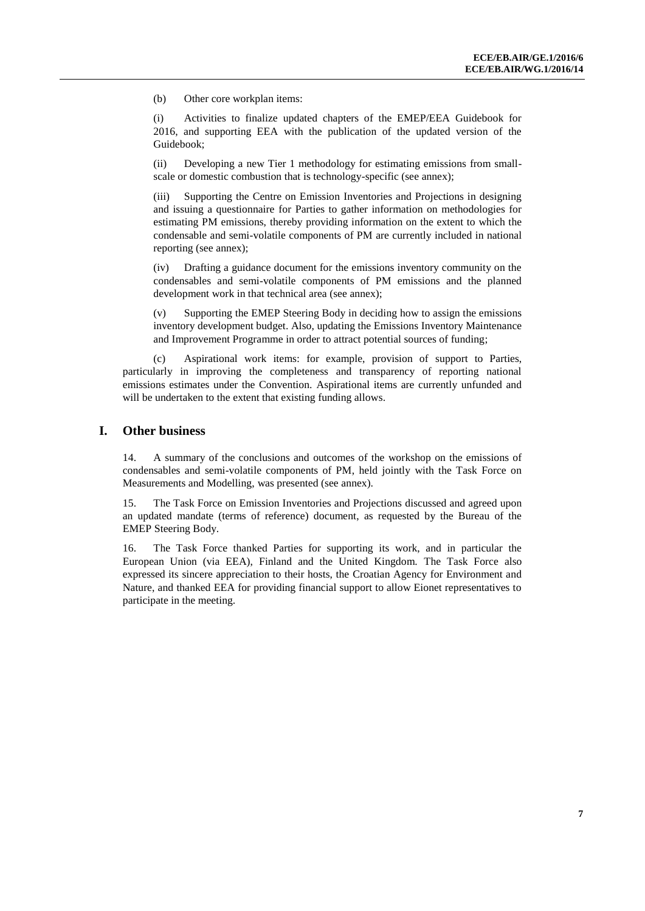(b) Other core workplan items:

(i) Activities to finalize updated chapters of the EMEP/EEA Guidebook for 2016, and supporting EEA with the publication of the updated version of the Guidebook;

(ii) Developing a new Tier 1 methodology for estimating emissions from smallscale or domestic combustion that is technology-specific (see annex);

(iii) Supporting the Centre on Emission Inventories and Projections in designing and issuing a questionnaire for Parties to gather information on methodologies for estimating PM emissions, thereby providing information on the extent to which the condensable and semi-volatile components of PM are currently included in national reporting (see annex);

(iv) Drafting a guidance document for the emissions inventory community on the condensables and semi-volatile components of PM emissions and the planned development work in that technical area (see annex);

Supporting the EMEP Steering Body in deciding how to assign the emissions inventory development budget. Also, updating the Emissions Inventory Maintenance and Improvement Programme in order to attract potential sources of funding;

(c) Aspirational work items: for example, provision of support to Parties, particularly in improving the completeness and transparency of reporting national emissions estimates under the Convention. Aspirational items are currently unfunded and will be undertaken to the extent that existing funding allows.

#### **I. Other business**

14. A summary of the conclusions and outcomes of the workshop on the emissions of condensables and semi-volatile components of PM, held jointly with the Task Force on Measurements and Modelling, was presented (see annex).

15. The Task Force on Emission Inventories and Projections discussed and agreed upon an updated mandate (terms of reference) document, as requested by the Bureau of the EMEP Steering Body.

16. The Task Force thanked Parties for supporting its work, and in particular the European Union (via EEA), Finland and the United Kingdom. The Task Force also expressed its sincere appreciation to their hosts, the Croatian Agency for Environment and Nature, and thanked EEA for providing financial support to allow Eionet representatives to participate in the meeting.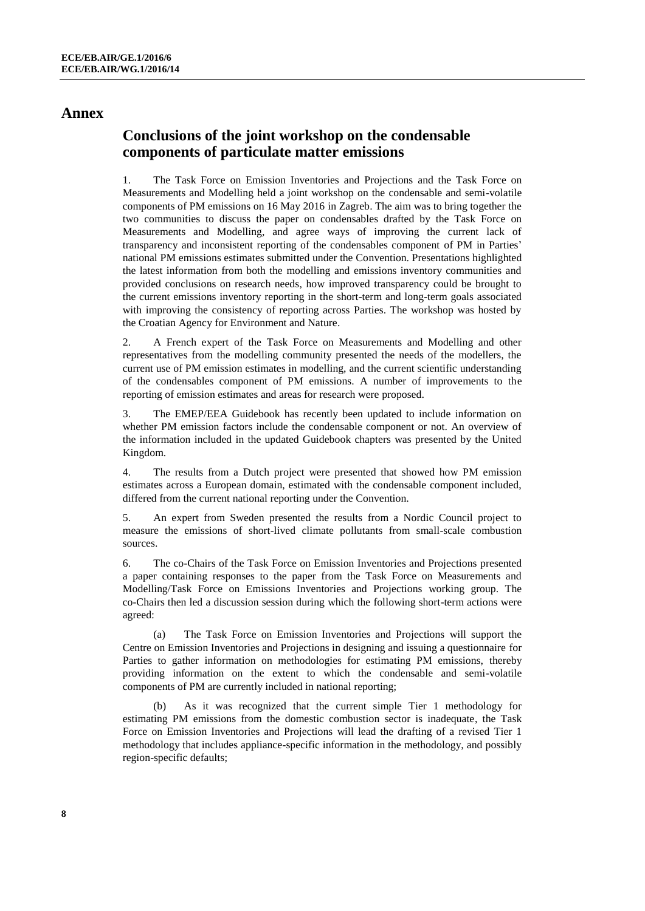### **Annex**

# **Conclusions of the joint workshop on the condensable components of particulate matter emissions**

1. The Task Force on Emission Inventories and Projections and the Task Force on Measurements and Modelling held a joint workshop on the condensable and semi-volatile components of PM emissions on 16 May 2016 in Zagreb. The aim was to bring together the two communities to discuss the paper on condensables drafted by the Task Force on Measurements and Modelling, and agree ways of improving the current lack of transparency and inconsistent reporting of the condensables component of PM in Parties' national PM emissions estimates submitted under the Convention. Presentations highlighted the latest information from both the modelling and emissions inventory communities and provided conclusions on research needs, how improved transparency could be brought to the current emissions inventory reporting in the short-term and long-term goals associated with improving the consistency of reporting across Parties. The workshop was hosted by the Croatian Agency for Environment and Nature.

2. A French expert of the Task Force on Measurements and Modelling and other representatives from the modelling community presented the needs of the modellers, the current use of PM emission estimates in modelling, and the current scientific understanding of the condensables component of PM emissions. A number of improvements to the reporting of emission estimates and areas for research were proposed.

3. The EMEP/EEA Guidebook has recently been updated to include information on whether PM emission factors include the condensable component or not. An overview of the information included in the updated Guidebook chapters was presented by the United Kingdom.

4. The results from a Dutch project were presented that showed how PM emission estimates across a European domain, estimated with the condensable component included, differed from the current national reporting under the Convention.

5. An expert from Sweden presented the results from a Nordic Council project to measure the emissions of short-lived climate pollutants from small-scale combustion sources.

6. The co-Chairs of the Task Force on Emission Inventories and Projections presented a paper containing responses to the paper from the Task Force on Measurements and Modelling/Task Force on Emissions Inventories and Projections working group. The co-Chairs then led a discussion session during which the following short-term actions were agreed:

(a) The Task Force on Emission Inventories and Projections will support the Centre on Emission Inventories and Projections in designing and issuing a questionnaire for Parties to gather information on methodologies for estimating PM emissions, thereby providing information on the extent to which the condensable and semi-volatile components of PM are currently included in national reporting;

(b) As it was recognized that the current simple Tier 1 methodology for estimating PM emissions from the domestic combustion sector is inadequate, the Task Force on Emission Inventories and Projections will lead the drafting of a revised Tier 1 methodology that includes appliance-specific information in the methodology, and possibly region-specific defaults;